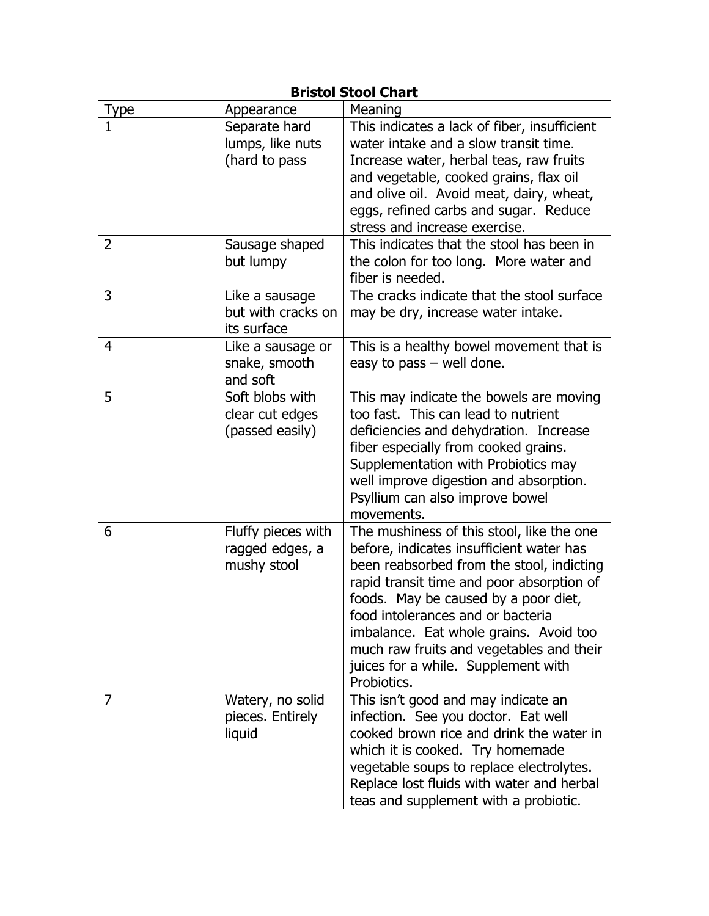| <b>Bristol Stool Chart</b> |                                                       |                                                                                                                                                                                                                                                                                                                                                                                                          |
|----------------------------|-------------------------------------------------------|----------------------------------------------------------------------------------------------------------------------------------------------------------------------------------------------------------------------------------------------------------------------------------------------------------------------------------------------------------------------------------------------------------|
| Type                       | Appearance                                            | Meaning                                                                                                                                                                                                                                                                                                                                                                                                  |
| 1                          | Separate hard<br>lumps, like nuts<br>(hard to pass    | This indicates a lack of fiber, insufficient<br>water intake and a slow transit time.<br>Increase water, herbal teas, raw fruits<br>and vegetable, cooked grains, flax oil<br>and olive oil. Avoid meat, dairy, wheat,<br>eggs, refined carbs and sugar. Reduce<br>stress and increase exercise.                                                                                                         |
| 2                          | Sausage shaped<br>but lumpy                           | This indicates that the stool has been in<br>the colon for too long. More water and<br>fiber is needed.                                                                                                                                                                                                                                                                                                  |
| 3                          | Like a sausage<br>but with cracks on<br>its surface   | The cracks indicate that the stool surface<br>may be dry, increase water intake.                                                                                                                                                                                                                                                                                                                         |
| $\overline{4}$             | Like a sausage or<br>snake, smooth<br>and soft        | This is a healthy bowel movement that is<br>easy to pass $-$ well done.                                                                                                                                                                                                                                                                                                                                  |
| 5                          | Soft blobs with<br>clear cut edges<br>(passed easily) | This may indicate the bowels are moving<br>too fast. This can lead to nutrient<br>deficiencies and dehydration. Increase<br>fiber especially from cooked grains.<br>Supplementation with Probiotics may<br>well improve digestion and absorption.<br>Psyllium can also improve bowel<br>movements.                                                                                                       |
| 6                          | Fluffy pieces with<br>ragged edges, a<br>mushy stool  | The mushiness of this stool, like the one<br>before, indicates insufficient water has<br>been reabsorbed from the stool, indicting<br>rapid transit time and poor absorption of<br>foods. May be caused by a poor diet,<br>food intolerances and or bacteria<br>imbalance. Eat whole grains. Avoid too<br>much raw fruits and vegetables and their<br>juices for a while. Supplement with<br>Probiotics. |
| 7                          | Watery, no solid<br>pieces. Entirely<br>liquid        | This isn't good and may indicate an<br>infection. See you doctor. Eat well<br>cooked brown rice and drink the water in<br>which it is cooked. Try homemade<br>vegetable soups to replace electrolytes.<br>Replace lost fluids with water and herbal<br>teas and supplement with a probiotic.                                                                                                             |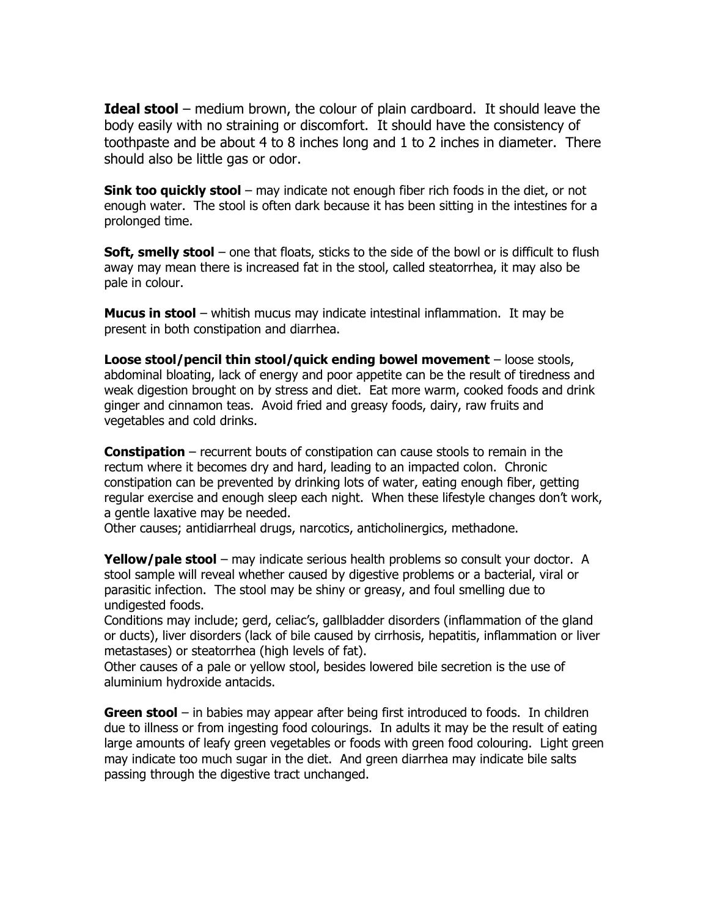**Ideal stool** – medium brown, the colour of plain cardboard. It should leave the body easily with no straining or discomfort. It should have the consistency of toothpaste and be about 4 to 8 inches long and 1 to 2 inches in diameter. There should also be little gas or odor.

**Sink too quickly stool** – may indicate not enough fiber rich foods in the diet, or not enough water. The stool is often dark because it has been sitting in the intestines for a prolonged time.

**Soft, smelly stool** – one that floats, sticks to the side of the bowl or is difficult to flush away may mean there is increased fat in the stool, called steatorrhea, it may also be pale in colour.

**Mucus in stool** – whitish mucus may indicate intestinal inflammation. It may be present in both constipation and diarrhea.

**Loose stool/pencil thin stool/quick ending bowel movement** – loose stools, abdominal bloating, lack of energy and poor appetite can be the result of tiredness and weak digestion brought on by stress and diet. Eat more warm, cooked foods and drink ginger and cinnamon teas. Avoid fried and greasy foods, dairy, raw fruits and vegetables and cold drinks.

**Constipation** – recurrent bouts of constipation can cause stools to remain in the rectum where it becomes dry and hard, leading to an impacted colon. Chronic constipation can be prevented by drinking lots of water, eating enough fiber, getting regular exercise and enough sleep each night. When these lifestyle changes don't work, a gentle laxative may be needed.

Other causes; antidiarrheal drugs, narcotics, anticholinergics, methadone.

**Yellow/pale stool** – may indicate serious health problems so consult your doctor. A stool sample will reveal whether caused by digestive problems or a bacterial, viral or parasitic infection. The stool may be shiny or greasy, and foul smelling due to undigested foods.

Conditions may include; gerd, celiac's, gallbladder disorders (inflammation of the gland or ducts), liver disorders (lack of bile caused by cirrhosis, hepatitis, inflammation or liver metastases) or steatorrhea (high levels of fat).

Other causes of a pale or yellow stool, besides lowered bile secretion is the use of aluminium hydroxide antacids.

**Green stool** – in babies may appear after being first introduced to foods. In children due to illness or from ingesting food colourings. In adults it may be the result of eating large amounts of leafy green vegetables or foods with green food colouring. Light green may indicate too much sugar in the diet. And green diarrhea may indicate bile salts passing through the digestive tract unchanged.